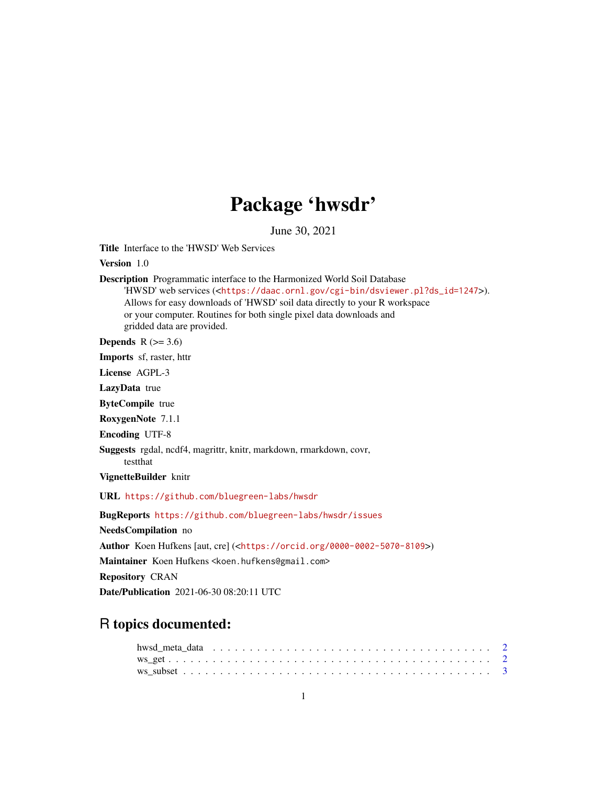## Package 'hwsdr'

June 30, 2021

Title Interface to the 'HWSD' Web Services

Version 1.0

Description Programmatic interface to the Harmonized World Soil Database 'HWSD' web services (<[https://daac.ornl.gov/cgi-bin/dsviewer.pl?ds\\_id=1247](https://daac.ornl.gov/cgi-bin/dsviewer.pl?ds_id=1247)>). Allows for easy downloads of 'HWSD' soil data directly to your R workspace or your computer. Routines for both single pixel data downloads and gridded data are provided. Depends  $R$  ( $>= 3.6$ )

Imports sf, raster, httr

License AGPL-3 LazyData true

ByteCompile true

RoxygenNote 7.1.1

Encoding UTF-8

Suggests rgdal, ncdf4, magrittr, knitr, markdown, rmarkdown, covr, testthat

VignetteBuilder knitr

URL <https://github.com/bluegreen-labs/hwsdr>

BugReports <https://github.com/bluegreen-labs/hwsdr/issues> NeedsCompilation no Author Koen Hufkens [aut, cre] (<<https://orcid.org/0000-0002-5070-8109>>) Maintainer Koen Hufkens <koen.hufkens@gmail.com> Repository CRAN

Date/Publication 2021-06-30 08:20:11 UTC

### R topics documented: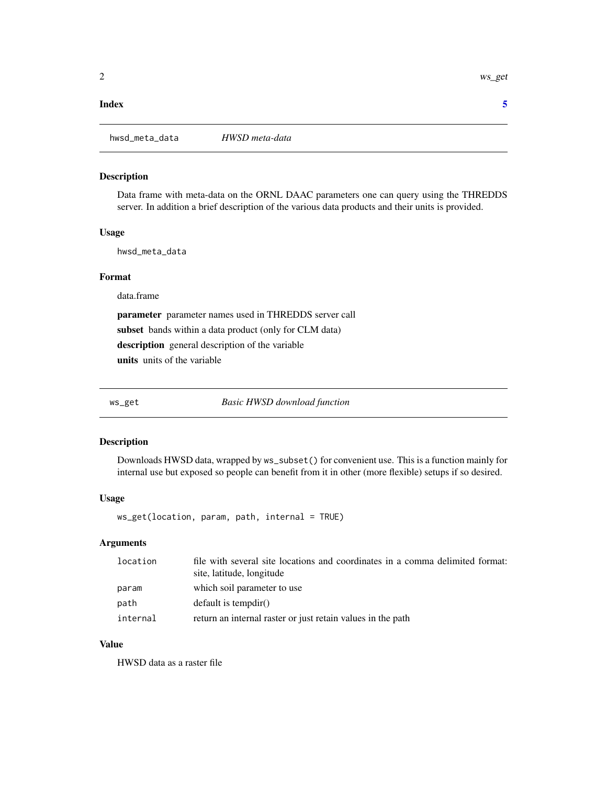#### <span id="page-1-0"></span>**Index** [5](#page-4-0). The second state of the second state of the second state of the second state of the second state of the second state of the second state of the second state of the second state of the second state of the second

#### Description

Data frame with meta-data on the ORNL DAAC parameters one can query using the THREDDS server. In addition a brief description of the various data products and their units is provided.

#### Usage

hwsd\_meta\_data

#### Format

data.frame

parameter parameter names used in THREDDS server call subset bands within a data product (only for CLM data) description general description of the variable units units of the variable

ws\_get *Basic HWSD download function*

#### Description

Downloads HWSD data, wrapped by ws\_subset() for convenient use. This is a function mainly for internal use but exposed so people can benefit from it in other (more flexible) setups if so desired.

#### Usage

ws\_get(location, param, path, internal = TRUE)

#### Arguments

| location | file with several site locations and coordinates in a comma delimited format:<br>site, latitude, longitude |
|----------|------------------------------------------------------------------------------------------------------------|
| param    | which soil parameter to use                                                                                |
| path     | $default$ is tempdir()                                                                                     |
| internal | return an internal raster or just retain values in the path                                                |

#### Value

HWSD data as a raster file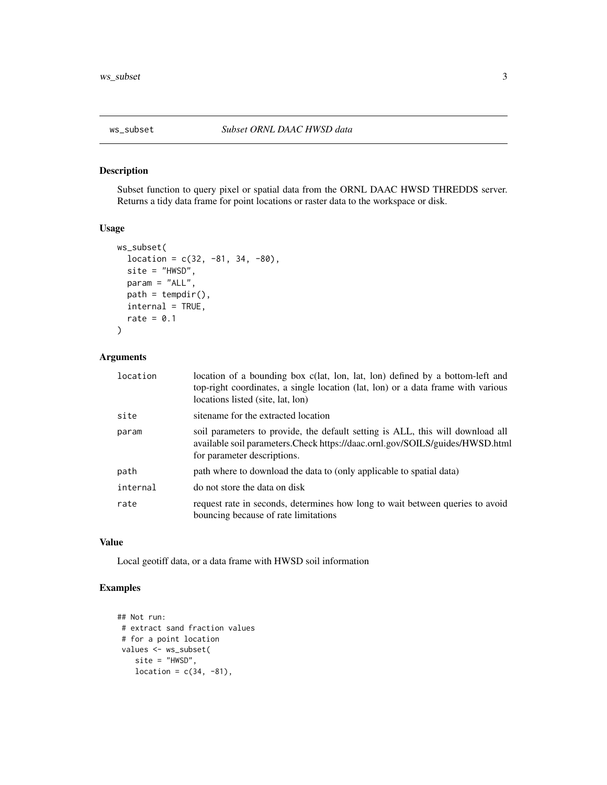<span id="page-2-0"></span>

#### Description

Subset function to query pixel or spatial data from the ORNL DAAC HWSD THREDDS server. Returns a tidy data frame for point locations or raster data to the workspace or disk.

#### Usage

```
ws_subset(
  location = c(32, -81, 34, -80),
 site = "HWSD",
 param = "ALL",
 path = tempdir(),internal = TRUE,
 rate = 0.1)
```
#### Arguments

| location | location of a bounding box c(lat, lon, lat, lon) defined by a bottom-left and<br>top-right coordinates, a single location (lat, lon) or a data frame with various<br>locations listed (site, lat, lon) |
|----------|--------------------------------------------------------------------------------------------------------------------------------------------------------------------------------------------------------|
| site     | sitename for the extracted location                                                                                                                                                                    |
| param    | soil parameters to provide, the default setting is ALL, this will download all<br>available soil parameters. Check https://daac.ornl.gov/SOILS/guides/HWSD.html<br>for parameter descriptions.         |
| path     | path where to download the data to (only applicable to spatial data)                                                                                                                                   |
| internal | do not store the data on disk                                                                                                                                                                          |
| rate     | request rate in seconds, determines how long to wait between queries to avoid<br>bouncing because of rate limitations                                                                                  |

#### Value

Local geotiff data, or a data frame with HWSD soil information

#### Examples

```
## Not run:
# extract sand fraction values
# for a point location
values <- ws_subset(
   site = "HWSD",
   location = c(34, -81),
```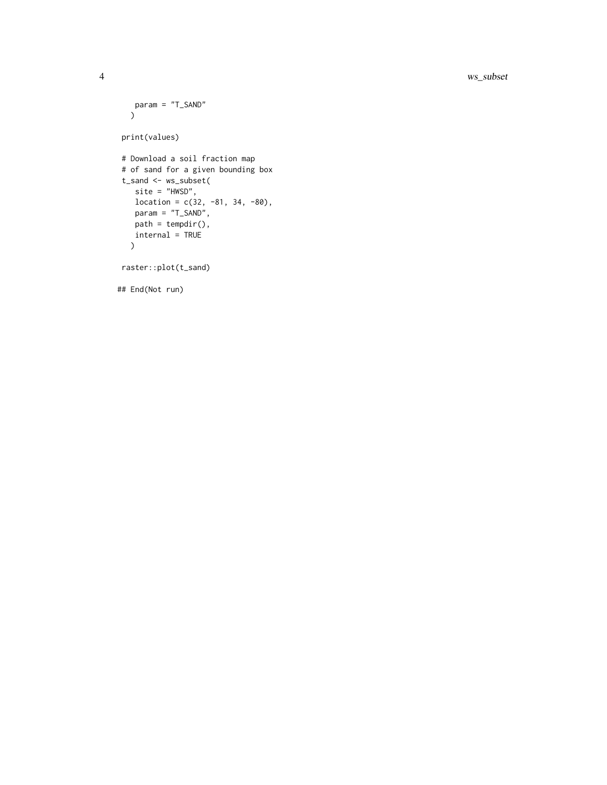#### 4 ws\_subset

```
param = "T_SAND"
 \sum_{i=1}^{n}print(values)
# Download a soil fraction map
# of sand for a given bounding box
t_sand <- ws_subset(
  site = "HWSD",
  location = c(32, -81, 34, -80),param = "T_SAND",
  path = tempdir(),internal = TRUE
 \lambda
```
raster::plot(t\_sand)

## End(Not run)